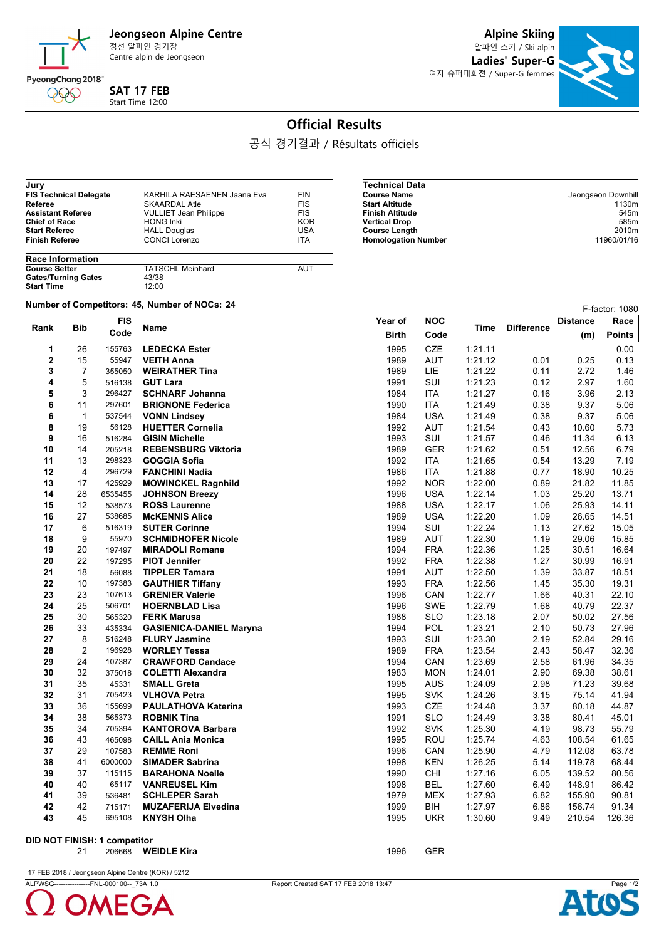

Centre alpin de Jeongseon

**SAT 17 FEB** Start Time 12:00

**Alpine Skiing**

알파인 스키 / Ski alpin **Ladies' Super-G** 여자 슈퍼대회전 / Super-G femmes



## **Official Results**

공식 경기결과 / Résultats officiels

| Jury                          |                              |            |
|-------------------------------|------------------------------|------------|
| <b>FIS Technical Delegate</b> | KARHILA RAESAENEN Jaana Eva  | <b>FIN</b> |
| Referee                       | <b>SKAARDAL Atle</b>         | <b>FIS</b> |
| <b>Assistant Referee</b>      | <b>VULLIET Jean Philippe</b> | <b>FIS</b> |
| <b>Chief of Race</b>          | <b>HONG Inki</b>             | <b>KOR</b> |
| <b>Start Referee</b>          | <b>HALL Douglas</b>          | USA        |
| <b>Finish Referee</b>         | <b>CONCI Lorenzo</b>         | <b>ITA</b> |
| <b>Race Information</b>       |                              |            |
|                               |                              |            |

| Jeongseon Downhill |
|--------------------|
| 1130m              |
| 545m               |
| 585 <sub>m</sub>   |
| 2010 <sub>m</sub>  |
| 11960/01/16        |
|                    |

| <b>Race Information</b>    |                         |     |
|----------------------------|-------------------------|-----|
| <b>Course Setter</b>       | <b>TATSCHL Meinhard</b> | AUT |
| <b>Gates/Turning Gates</b> | 43/38                   |     |
| <b>Start Time</b>          | 12:00                   |     |

**Number of Competitors: 45, Number of NOCs: <sup>24</sup>** F-factor: 1080

| Rank     | <b>Bib</b>     | <b>FIS</b>       | Name                                                   | Year of      | <b>NOC</b>               | Time               | <b>Difference</b> | <b>Distance</b> | Race           |
|----------|----------------|------------------|--------------------------------------------------------|--------------|--------------------------|--------------------|-------------------|-----------------|----------------|
|          |                | Code             |                                                        | <b>Birth</b> | Code                     |                    |                   | (m)             | <b>Points</b>  |
| 1        | 26             | 155763           | <b>LEDECKA Ester</b>                                   | 1995         | CZE                      | 1:21.11            |                   |                 | 0.00           |
| 2        | 15             | 55947            | <b>VEITH Anna</b>                                      | 1989         | <b>AUT</b>               | 1:21.12            | 0.01              | 0.25            | 0.13           |
| 3        | $\overline{7}$ | 355050           | <b>WEIRATHER Tina</b>                                  | 1989         | LIE                      | 1:21.22            | 0.11              | 2.72            | 1.46           |
| 4        | 5              | 516138           | <b>GUT Lara</b>                                        | 1991         | <b>SUI</b>               | 1:21.23            | 0.12              | 2.97            | 1.60           |
| 5        | 3              | 296427           | <b>SCHNARF Johanna</b>                                 | 1984         | <b>ITA</b>               | 1:21.27            | 0.16              | 3.96            | 2.13           |
| 6        | 11             | 297601           | <b>BRIGNONE Federica</b>                               | 1990         | <b>ITA</b>               | 1:21.49            | 0.38              | 9.37            | 5.06           |
| 6        | $\mathbf{1}$   | 537544           | <b>VONN Lindsey</b>                                    | 1984         | <b>USA</b>               | 1:21.49            | 0.38              | 9.37            | 5.06           |
| 8        | 19             | 56128            | <b>HUETTER Cornelia</b>                                | 1992         | <b>AUT</b>               | 1:21.54            | 0.43              | 10.60           | 5.73           |
| 9        | 16             | 516284           | <b>GISIN Michelle</b>                                  | 1993         | SUI                      | 1:21.57            | 0.46              | 11.34           | 6.13           |
| 10       | 14             | 205218           | <b>REBENSBURG Viktoria</b>                             | 1989         | <b>GER</b>               | 1:21.62            | 0.51              | 12.56           | 6.79           |
| 11       | 13             | 298323           | <b>GOGGIA Sofia</b>                                    | 1992         | <b>ITA</b>               | 1:21.65            | 0.54              | 13.29           | 7.19           |
| 12       | $\overline{4}$ | 296729           | <b>FANCHINI Nadia</b>                                  | 1986         | <b>ITA</b>               | 1:21.88            | 0.77              | 18.90           | 10.25          |
| 13       | 17             | 425929           | <b>MOWINCKEL Ragnhild</b>                              | 1992         | NOR.                     | 1:22.00            | 0.89              | 21.82           | 11.85          |
| 14       | 28             | 6535455          | <b>JOHNSON Breezy</b>                                  | 1996         | <b>USA</b>               | 1:22.14            | 1.03              | 25.20           | 13.71          |
| 15       | 12             | 538573           | <b>ROSS Laurenne</b>                                   | 1988         | <b>USA</b>               | 1:22.17            | 1.06              | 25.93           | 14.11          |
| 16       | 27             | 538685           | <b>McKENNIS Alice</b>                                  | 1989         | <b>USA</b>               | 1:22.20            | 1.09              | 26.65           | 14.51          |
| 17       | 6              | 516319           | <b>SUTER Corinne</b>                                   | 1994         | SUI                      | 1:22.24            | 1.13              | 27.62           | 15.05          |
| 18       | 9              | 55970            | <b>SCHMIDHOFER Nicole</b>                              | 1989         | <b>AUT</b>               | 1:22.30            | 1.19              | 29.06           | 15.85          |
| 19       | 20             | 197497           | <b>MIRADOLI Romane</b>                                 | 1994         | <b>FRA</b>               | 1:22.36            | 1.25              | 30.51           | 16.64          |
| 20       | 22             | 197295           | <b>PIOT Jennifer</b>                                   | 1992         | <b>FRA</b>               | 1:22.38            | 1.27              | 30.99           | 16.91          |
| 21       | 18             | 56088            | <b>TIPPLER Tamara</b>                                  | 1991         | <b>AUT</b>               | 1:22.50            | 1.39              | 33.87           | 18.51          |
| 22       | 10             | 197383           | <b>GAUTHIER Tiffany</b>                                | 1993         | <b>FRA</b>               | 1:22.56            | 1.45              | 35.30           | 19.31          |
| 23       | 23<br>25       | 107613           | <b>GRENIER Valerie</b>                                 | 1996         | CAN                      | 1:22.77            | 1.66              | 40.31           | 22.10          |
| 24       | 30             | 506701<br>565320 | <b>HOERNBLAD Lisa</b>                                  | 1996         | <b>SWE</b><br><b>SLO</b> | 1:22.79            | 1.68<br>2.07      | 40.79           | 22.37          |
| 25       |                |                  | <b>FERK Marusa</b>                                     | 1988         |                          | 1:23.18            |                   | 50.02           | 27.56          |
| 26<br>27 | 33<br>8        | 435334<br>516248 | <b>GASIENICA-DANIEL Maryna</b><br><b>FLURY Jasmine</b> | 1994<br>1993 | <b>POL</b><br>SUI        | 1:23.21            | 2.10<br>2.19      | 50.73<br>52.84  | 27.96<br>29.16 |
| 28       | 2              | 196928           | <b>WORLEY Tessa</b>                                    | 1989         | <b>FRA</b>               | 1:23.30<br>1:23.54 | 2.43              | 58.47           | 32.36          |
| 29       | 24             | 107387           | <b>CRAWFORD Candace</b>                                | 1994         | CAN                      | 1:23.69            | 2.58              | 61.96           | 34.35          |
| 30       | 32             | 375018           | <b>COLETTI Alexandra</b>                               | 1983         | <b>MON</b>               | 1:24.01            | 2.90              | 69.38           | 38.61          |
| 31       | 35             | 45331            | <b>SMALL Greta</b>                                     | 1995         | <b>AUS</b>               | 1:24.09            | 2.98              | 71.23           | 39.68          |
| 32       | 31             | 705423           | <b>VLHOVA Petra</b>                                    | 1995         | <b>SVK</b>               | 1:24.26            | 3.15              | 75.14           | 41.94          |
| 33       | 36             | 155699           | <b>PAULATHOVA Katerina</b>                             | 1993         | <b>CZE</b>               | 1:24.48            | 3.37              | 80.18           | 44.87          |
| 34       | 38             | 565373           | <b>ROBNIK Tina</b>                                     | 1991         | <b>SLO</b>               | 1:24.49            | 3.38              | 80.41           | 45.01          |
| 35       | 34             | 705394           | <b>KANTOROVA Barbara</b>                               | 1992         | <b>SVK</b>               | 1:25.30            | 4.19              | 98.73           | 55.79          |
| 36       | 43             | 465098           | <b>CAILL Ania Monica</b>                               | 1995         | <b>ROU</b>               | 1:25.74            | 4.63              | 108.54          | 61.65          |
| 37       | 29             | 107583           | <b>REMME Roni</b>                                      | 1996         | CAN                      | 1:25.90            | 4.79              | 112.08          | 63.78          |
| 38       | 41             | 6000000          | <b>SIMADER Sabrina</b>                                 | 1998         | <b>KEN</b>               | 1:26.25            | 5.14              | 119.78          | 68.44          |
| 39       | 37             | 115115           | <b>BARAHONA Noelle</b>                                 | 1990         | CHI                      | 1:27.16            | 6.05              | 139.52          | 80.56          |
| 40       | 40             | 65117            | <b>VANREUSEL Kim</b>                                   | 1998         | <b>BEL</b>               | 1:27.60            | 6.49              | 148.91          | 86.42          |
| 41       | 39             | 536481           | <b>SCHLEPER Sarah</b>                                  | 1979         | <b>MEX</b>               | 1:27.93            | 6.82              | 155.90          | 90.81          |
| 42       | 42             | 715171           | <b>MUZAFERIJA Elvedina</b>                             | 1999         | BIH                      | 1:27.97            | 6.86              | 156.74          | 91.34          |
| 43       | 45             | 695108           | <b>KNYSH Olha</b>                                      | 1995         | <b>UKR</b>               | 1:30.60            | 9.49              | 210.54          | 126.36         |
|          |                |                  |                                                        |              |                          |                    |                   |                 |                |

**DID NOT FINISH: 1 competitor**

21 206668 **WEIDLE Kira** 1996 GER

17 FEB 2018 / Jeongseon Alpine Centre (KOR) / 5212